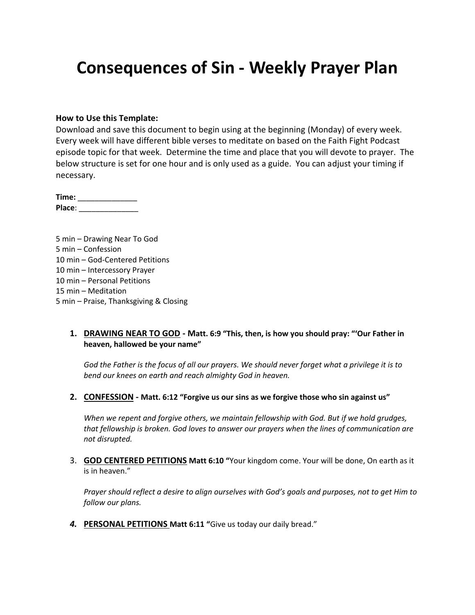# **Consequences of Sin - Weekly Prayer Plan**

#### **How to Use this Template:**

Download and save this document to begin using at the beginning (Monday) of every week. Every week will have different bible verses to meditate on based on the Faith Fight Podcast episode topic for that week. Determine the time and place that you will devote to prayer. The below structure is set for one hour and is only used as a guide. You can adjust your timing if necessary.

**Time:** \_\_\_\_\_\_\_\_\_\_\_\_\_\_ **Place**: \_\_\_\_\_\_\_\_\_\_\_\_\_\_

5 min – Drawing Near To God 5 min – Confession 10 min – God-Centered Petitions 10 min – Intercessory Prayer 10 min – Personal Petitions 15 min – Meditation 5 min – Praise, Thanksgiving & Closing

#### **1. DRAWING NEAR TO GOD - Matt. 6:9 "This, then, is how you should pray: "'Our Father in heaven, hallowed be your name"**

*God the Father is the focus of all our prayers. We should never forget what a privilege it is to bend our knees on earth and reach almighty God in heaven.*

**2. CONFESSION - Matt. 6:12 "Forgive us our sins as we forgive those who sin against us"**

*When we repent and forgive others, we maintain fellowship with God. But if we hold grudges, that fellowship is broken. God loves to answer our prayers when the lines of communication are not disrupted.*

3. **GOD CENTERED PETITIONS Matt 6:10 "**Your kingdom come. Your will be done, On earth as it is in heaven."

*Prayer should reflect a desire to align ourselves with God's goals and purposes, not to get Him to follow our plans.*

*4.* **PERSONAL PETITIONS Matt 6:11 "**Give us today our daily bread."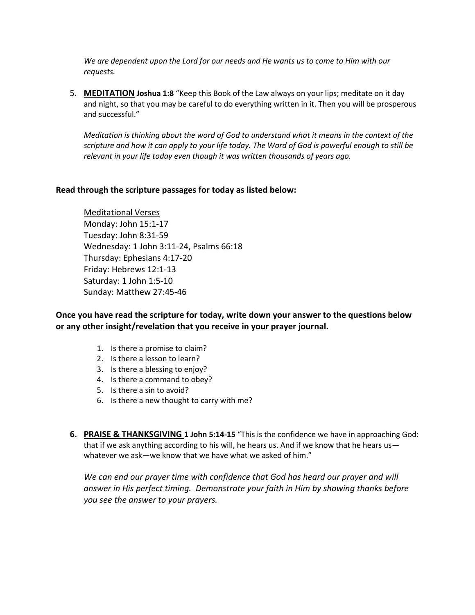*We are dependent upon the Lord for our needs and He wants us to come to Him with our requests.*

5. **MEDITATION Joshua 1:8** "Keep this Book of the Law always on your lips; meditate on it day and night, so that you may be careful to do everything written in it. Then you will be prosperous and successful."

*Meditation is thinking about the word of God to understand what it means in the context of the scripture and how it can apply to your life today. The Word of God is powerful enough to still be relevant in your life today even though it was written thousands of years ago.*

#### **Read through the scripture passages for today as listed below:**

Meditational Verses Monday: John 15:1-17 Tuesday: John 8:31-59 Wednesday: 1 John 3:11-24, Psalms 66:18 Thursday: Ephesians 4:17-20 Friday: Hebrews 12:1-13 Saturday: 1 John 1:5-10 Sunday: Matthew 27:45-46

**Once you have read the scripture for today, write down your answer to the questions below or any other insight/revelation that you receive in your prayer journal.** 

- 1. Is there a promise to claim?
- 2. Is there a lesson to learn?
- 3. Is there a blessing to enjoy?
- 4. Is there a command to obey?
- 5. Is there a sin to avoid?
- 6. Is there a new thought to carry with me?
- **6. PRAISE & THANKSGIVING 1 John 5:14-15** "This is the confidence we have in approaching God: that if we ask anything according to his will, he hears us. And if we know that he hears us whatever we ask—we know that we have what we asked of him."

We can end our prayer time with confidence that God has heard our prayer and will *answer in His perfect timing. Demonstrate your faith in Him by showing thanks before you see the answer to your prayers.*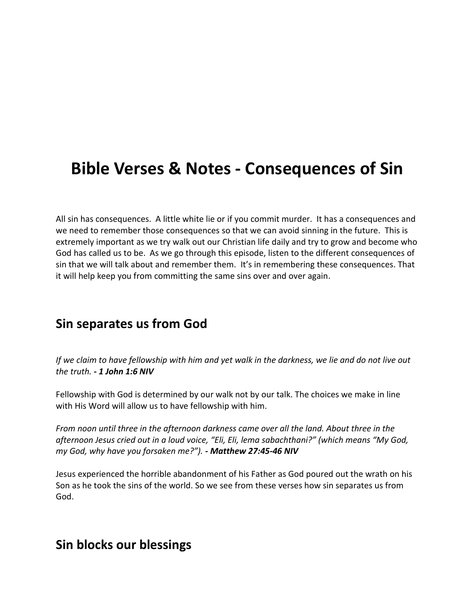# **Bible Verses & Notes - Consequences of Sin**

All sin has consequences. A little white lie or if you commit murder. It has a consequences and we need to remember those consequences so that we can avoid sinning in the future. This is extremely important as we try walk out our Christian life daily and try to grow and become who God has called us to be. As we go through this episode, listen to the different consequences of sin that we will talk about and remember them. It's in remembering these consequences. That it will help keep you from committing the same sins over and over again.

#### **Sin separates us from God**

*If we claim to have fellowship with him and yet walk in the darkness, we lie and do not live out the truth. - 1 John 1:6 NIV*

Fellowship with God is determined by our walk not by our talk. The choices we make in line with His Word will allow us to have fellowship with him.

*From noon until three in the afternoon darkness came over all the land. About three in the afternoon Jesus cried out in a loud voice, "Eli, Eli, lema sabachthani?" (which means "My God, my God, why have you forsaken me?"). - Matthew 27:45-46 NIV*

Jesus experienced the horrible abandonment of his Father as God poured out the wrath on his Son as he took the sins of the world. So we see from these verses how sin separates us from God.

#### **Sin blocks our blessings**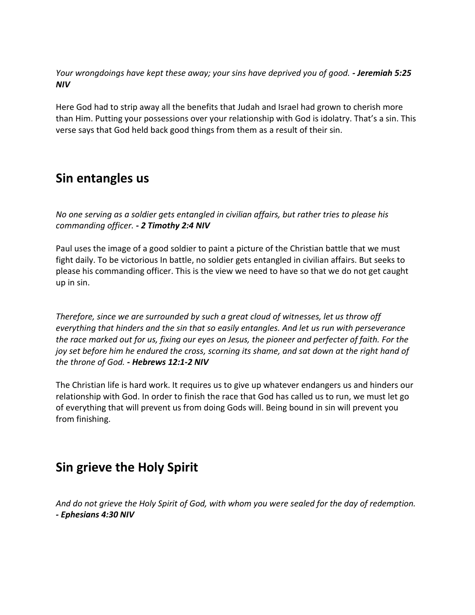*Your wrongdoings have kept these away; your sins have deprived you of good. - Jeremiah 5:25 NIV*

Here God had to strip away all the benefits that Judah and Israel had grown to cherish more than Him. Putting your possessions over your relationship with God is idolatry. That's a sin. This verse says that God held back good things from them as a result of their sin.

### **Sin entangles us**

*No one serving as a soldier gets entangled in civilian affairs, but rather tries to please his commanding officer. - 2 Timothy 2:4 NIV*

Paul uses the image of a good soldier to paint a picture of the Christian battle that we must fight daily. To be victorious In battle, no soldier gets entangled in civilian affairs. But seeks to please his commanding officer. This is the view we need to have so that we do not get caught up in sin.

*Therefore, since we are surrounded by such a great cloud of witnesses, let us throw off everything that hinders and the sin that so easily entangles. And let us run with perseverance the race marked out for us, fixing our eyes on Jesus, the pioneer and perfecter of faith. For the joy set before him he endured the cross, scorning its shame, and sat down at the right hand of the throne of God. - Hebrews 12:1-2 NIV*

The Christian life is hard work. It requires us to give up whatever endangers us and hinders our relationship with God. In order to finish the race that God has called us to run, we must let go of everything that will prevent us from doing Gods will. Being bound in sin will prevent you from finishing.

## **Sin grieve the Holy Spirit**

*And do not grieve the Holy Spirit of God, with whom you were sealed for the day of redemption. - Ephesians 4:30 NIV*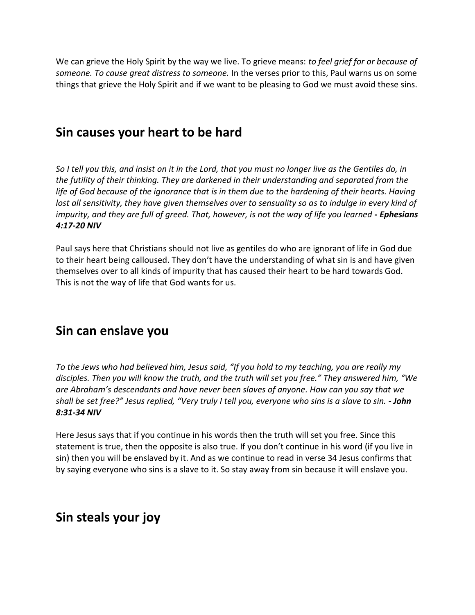We can grieve the Holy Spirit by the way we live. To grieve means: *to feel grief for or because of someone. To cause great distress to someone.* In the verses prior to this, Paul warns us on some things that grieve the Holy Spirit and if we want to be pleasing to God we must avoid these sins.

#### **Sin causes your heart to be hard**

*So I tell you this, and insist on it in the Lord, that you must no longer live as the Gentiles do, in the futility of their thinking. They are darkened in their understanding and separated from the*  life of God because of the ignorance that is in them due to the hardening of their hearts. Having *lost all sensitivity, they have given themselves over to sensuality so as to indulge in every kind of impurity, and they are full of greed. That, however, is not the way of life you learned - Ephesians 4:17-20 NIV*

Paul says here that Christians should not live as gentiles do who are ignorant of life in God due to their heart being calloused. They don't have the understanding of what sin is and have given themselves over to all kinds of impurity that has caused their heart to be hard towards God. This is not the way of life that God wants for us.

### **Sin can enslave you**

*To the Jews who had believed him, Jesus said, "If you hold to my teaching, you are really my disciples. Then you will know the truth, and the truth will set you free." They answered him, "We are Abraham's descendants and have never been slaves of anyone. How can you say that we shall be set free?" Jesus replied, "Very truly I tell you, everyone who sins is a slave to sin. - John 8:31-34 NIV*

Here Jesus says that if you continue in his words then the truth will set you free. Since this statement is true, then the opposite is also true. If you don't continue in his word (if you live in sin) then you will be enslaved by it. And as we continue to read in verse 34 Jesus confirms that by saying everyone who sins is a slave to it. So stay away from sin because it will enslave you.

## **Sin steals your joy**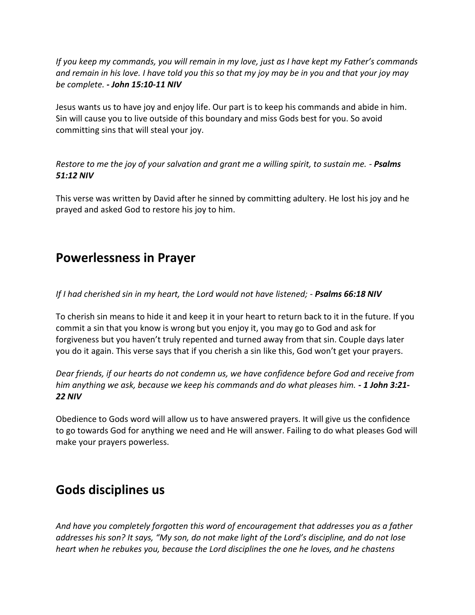*If you keep my commands, you will remain in my love, just as I have kept my Father's commands and remain in his love. I have told you this so that my joy may be in you and that your joy may be complete. - John 15:10-11 NIV*

Jesus wants us to have joy and enjoy life. Our part is to keep his commands and abide in him. Sin will cause you to live outside of this boundary and miss Gods best for you. So avoid committing sins that will steal your joy.

*Restore to me the joy of your salvation and grant me a willing spirit, to sustain me. - Psalms 51:12 NIV*

This verse was written by David after he sinned by committing adultery. He lost his joy and he prayed and asked God to restore his joy to him.

### **Powerlessness in Prayer**

*If I had cherished sin in my heart, the Lord would not have listened; - Psalms 66:18 NIV*

To cherish sin means to hide it and keep it in your heart to return back to it in the future. If you commit a sin that you know is wrong but you enjoy it, you may go to God and ask for forgiveness but you haven't truly repented and turned away from that sin. Couple days later you do it again. This verse says that if you cherish a sin like this, God won't get your prayers.

*Dear friends, if our hearts do not condemn us, we have confidence before God and receive from him anything we ask, because we keep his commands and do what pleases him. - 1 John 3:21- 22 NIV*

Obedience to Gods word will allow us to have answered prayers. It will give us the confidence to go towards God for anything we need and He will answer. Failing to do what pleases God will make your prayers powerless.

### **Gods disciplines us**

*And have you completely forgotten this word of encouragement that addresses you as a father addresses his son? It says, "My son, do not make light of the Lord's discipline, and do not lose heart when he rebukes you, because the Lord disciplines the one he loves, and he chastens*